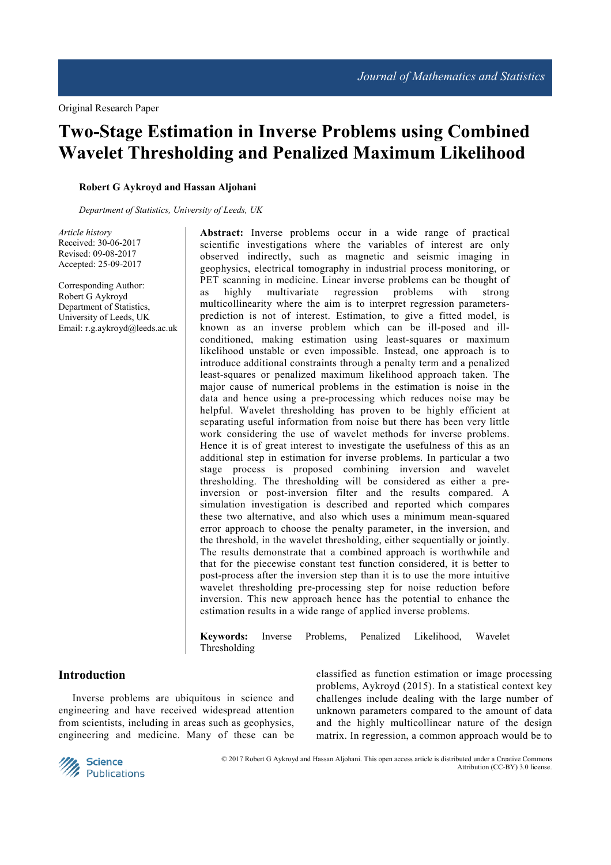# **Two-Stage Estimation in Inverse Problems using Combined Wavelet Thresholding and Penalized Maximum Likelihood**

## **Robert G Aykroyd and Hassan Aljohani**

*Department of Statistics, University of Leeds, UK* 

*Article history*  Received: 30-06-2017 Revised: 09-08-2017 Accepted: 25-09-2017

Corresponding Author: Robert G Aykroyd Department of Statistics, University of Leeds, UK Email: r.g.aykroyd@leeds.ac.uk **Abstract:** Inverse problems occur in a wide range of practical scientific investigations where the variables of interest are only observed indirectly, such as magnetic and seismic imaging in geophysics, electrical tomography in industrial process monitoring, or PET scanning in medicine. Linear inverse problems can be thought of as highly multivariate regression problems with strong multicollinearity where the aim is to interpret regression parametersprediction is not of interest. Estimation, to give a fitted model, is known as an inverse problem which can be ill-posed and illconditioned, making estimation using least-squares or maximum likelihood unstable or even impossible. Instead, one approach is to introduce additional constraints through a penalty term and a penalized least-squares or penalized maximum likelihood approach taken. The major cause of numerical problems in the estimation is noise in the data and hence using a pre-processing which reduces noise may be helpful. Wavelet thresholding has proven to be highly efficient at separating useful information from noise but there has been very little work considering the use of wavelet methods for inverse problems. Hence it is of great interest to investigate the usefulness of this as an additional step in estimation for inverse problems. In particular a two stage process is proposed combining inversion and wavelet thresholding. The thresholding will be considered as either a preinversion or post-inversion filter and the results compared. A simulation investigation is described and reported which compares these two alternative, and also which uses a minimum mean-squared error approach to choose the penalty parameter, in the inversion, and the threshold, in the wavelet thresholding, either sequentially or jointly. The results demonstrate that a combined approach is worthwhile and that for the piecewise constant test function considered, it is better to post-process after the inversion step than it is to use the more intuitive wavelet thresholding pre-processing step for noise reduction before inversion. This new approach hence has the potential to enhance the estimation results in a wide range of applied inverse problems.

**Keywords:** Inverse Problems, Penalized Likelihood, Wavelet Thresholding

## **Introduction**

Inverse problems are ubiquitous in science and engineering and have received widespread attention from scientists, including in areas such as geophysics, engineering and medicine. Many of these can be

classified as function estimation or image processing problems, Aykroyd (2015). In a statistical context key challenges include dealing with the large number of unknown parameters compared to the amount of data and the highly multicollinear nature of the design matrix. In regression, a common approach would be to



 © 2017 Robert G Aykroyd and Hassan Aljohani. This open access article is distributed under a Creative Commons Attribution (CC-BY) 3.0 license.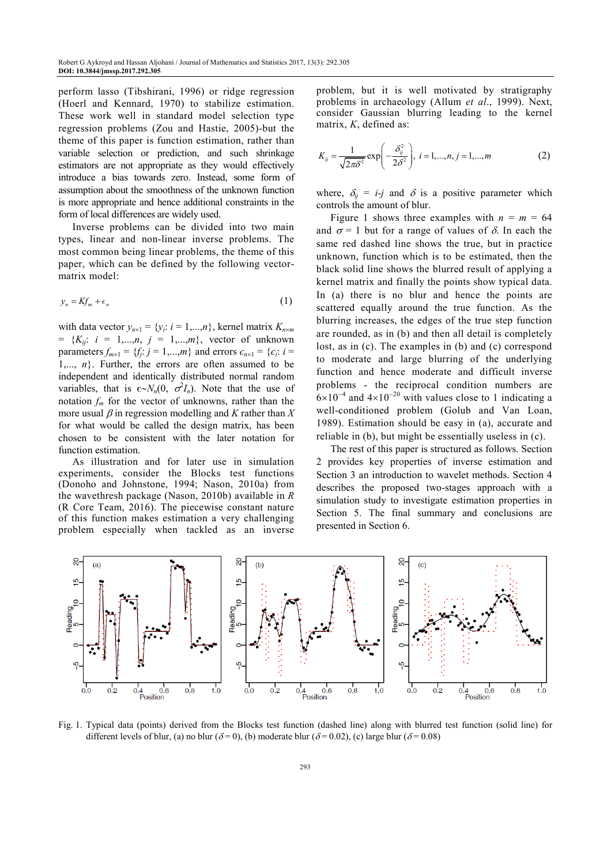perform lasso (Tibshirani, 1996) or ridge regression (Hoerl and Kennard, 1970) to stabilize estimation. These work well in standard model selection type regression problems (Zou and Hastie, 2005)-but the theme of this paper is function estimation, rather than variable selection or prediction, and such shrinkage estimators are not appropriate as they would effectively introduce a bias towards zero. Instead, some form of assumption about the smoothness of the unknown function is more appropriate and hence additional constraints in the form of local differences are widely used.

Inverse problems can be divided into two main types, linear and non-linear inverse problems. The most common being linear problems, the theme of this paper, which can be defined by the following vectormatrix model:

$$
y_n = Kf_m + \epsilon_n \tag{1}
$$

with data vector  $y_{n\times1} = \{y_i: i = 1,...,n\}$ , kernel matrix  $K_{n\times m}$  $= \{K_{ij}: i = 1,...,n, j = 1,...,m\},$  vector of unknown parameters  $f_{m \times 1} = \{f_j : j = 1, ..., m\}$  and errors  $\epsilon_{n \times 1} = \{\epsilon_i : i =$  $1, \ldots, n$ . Further, the errors are often assumed to be independent and identically distributed normal random variables, that is  $\epsilon \sim N_n(0, \sigma^2 I_n)$ . Note that the use of notation  $f_m$  for the vector of unknowns, rather than the more usual  $\beta$  in regression modelling and  $K$  rather than  $X$ for what would be called the design matrix, has been chosen to be consistent with the later notation for function estimation.

As illustration and for later use in simulation experiments, consider the Blocks test functions (Donoho and Johnstone, 1994; Nason, 2010a) from the wavethresh package (Nason, 2010b) available in *R* (R Core Team, 2016). The piecewise constant nature of this function makes estimation a very challenging problem especially when tackled as an inverse problem, but it is well motivated by stratigraphy problems in archaeology (Allum *et al*., 1999). Next, consider Gaussian blurring leading to the kernel matrix, *K*, defined as:

$$
K_{ij} = \frac{1}{\sqrt{2\pi\delta^2}} \exp\left(-\frac{\delta_{ij}^2}{2\delta^2}\right), \quad i = 1, \dots, n, j = 1, \dots, m \tag{2}
$$

where,  $\delta_{ij} = i - j$  and  $\delta$  is a positive parameter which controls the amount of blur.

Figure 1 shows three examples with  $n = m = 64$ and  $\sigma$  = 1 but for a range of values of  $\delta$ . In each the same red dashed line shows the true, but in practice unknown, function which is to be estimated, then the black solid line shows the blurred result of applying a kernel matrix and finally the points show typical data. In (a) there is no blur and hence the points are scattered equally around the true function. As the blurring increases, the edges of the true step function are rounded, as in (b) and then all detail is completely lost, as in (c). The examples in (b) and (c) correspond to moderate and large blurring of the underlying function and hence moderate and difficult inverse problems - the reciprocal condition numbers are  $6\times10^{-4}$  and  $4\times10^{-20}$  with values close to 1 indicating a well-conditioned problem (Golub and Van Loan, 1989). Estimation should be easy in (a), accurate and reliable in (b), but might be essentially useless in (c).

The rest of this paper is structured as follows. Section 2 provides key properties of inverse estimation and Section 3 an introduction to wavelet methods. Section 4 describes the proposed two-stages approach with a simulation study to investigate estimation properties in Section 5. The final summary and conclusions are presented in Section 6.



Fig. 1. Typical data (points) derived from the Blocks test function (dashed line) along with blurred test function (solid line) for different levels of blur, (a) no blur ( $\delta$ = 0), (b) moderate blur ( $\delta$ = 0.02), (c) large blur ( $\delta$ = 0.08)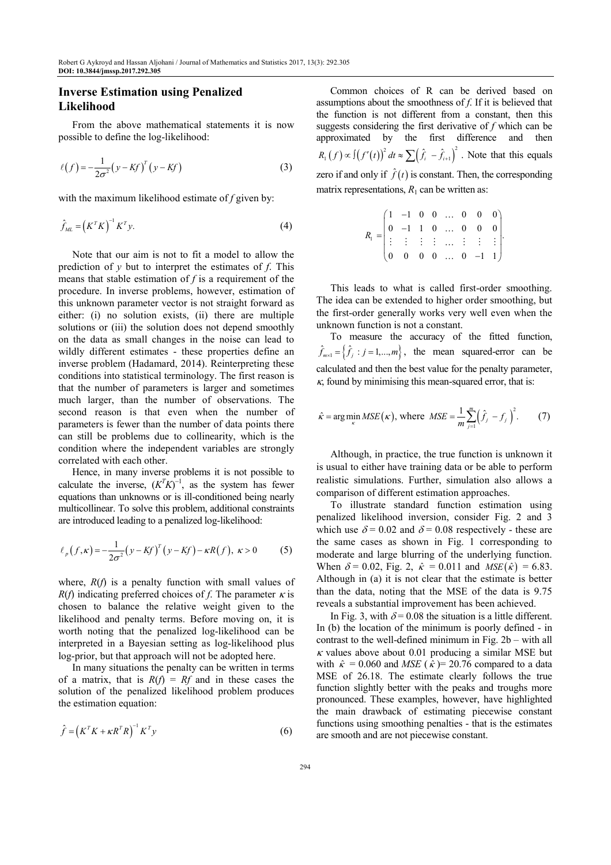## **Inverse Estimation using Penalized Likelihood**

From the above mathematical statements it is now possible to define the log-likelihood:

$$
\ell(f) = -\frac{1}{2\sigma^2} \left( y - Kf \right)^T \left( y - Kf \right) \tag{3}
$$

with the maximum likelihood estimate of *f* given by:

$$
\hat{f}_{ML} = \left(K^T K\right)^{-1} K^T y. \tag{4}
$$

Note that our aim is not to fit a model to allow the prediction of *y* but to interpret the estimates of *f*. This means that stable estimation of *f* is a requirement of the procedure. In inverse problems, however, estimation of this unknown parameter vector is not straight forward as either: (i) no solution exists, (ii) there are multiple solutions or (iii) the solution does not depend smoothly on the data as small changes in the noise can lead to wildly different estimates - these properties define an inverse problem (Hadamard, 2014). Reinterpreting these conditions into statistical terminology. The first reason is that the number of parameters is larger and sometimes much larger, than the number of observations. The second reason is that even when the number of parameters is fewer than the number of data points there can still be problems due to collinearity, which is the condition where the independent variables are strongly correlated with each other.

Hence, in many inverse problems it is not possible to calculate the inverse,  $(K^T K)^{-1}$ , as the system has fewer equations than unknowns or is ill-conditioned being nearly multicollinear. To solve this problem, additional constraints are introduced leading to a penalized log-likelihood:

$$
\ell_p(f,\kappa) = -\frac{1}{2\sigma^2} (y - Kf)^T (y - Kf) - \kappa R(f), \ \kappa > 0 \tag{5}
$$

where,  $R(f)$  is a penalty function with small values of *R*(*f*) indicating preferred choices of *f*. The parameter  $\kappa$  is chosen to balance the relative weight given to the likelihood and penalty terms. Before moving on, it is worth noting that the penalized log-likelihood can be interpreted in a Bayesian setting as log-likelihood plus log-prior, but that approach will not be adopted here.

In many situations the penalty can be written in terms of a matrix, that is  $R(f) = Rf$  and in these cases the solution of the penalized likelihood problem produces the estimation equation:

$$
\hat{f} = \left(K^T K + \kappa R^T R\right)^{-1} K^T y \tag{6}
$$

Common choices of R can be derived based on assumptions about the smoothness of *f*. If it is believed that the function is not different from a constant, then this suggests considering the first derivative of *f* which can be approximated by the first difference and then  $(f) \propto \int (f'(t))^2 dt \approx \sum (\hat{f}_i - \hat{f}_{i+1})^2$  $R_1(f) \propto \int (f'(t))^2 dt \approx \sum (\hat{f}_i - \hat{f}_{i+1})^2$ . Note that this equals zero if and only if  $\hat{f}(t)$  is constant. Then, the corresponding matrix representations,  $R_1$  can be written as:

| $R_1 = \begin{pmatrix} 1 & -1 & 0 & 0 & \dots & 0 & 0 & 0 \\ 0 & -1 & 1 & 0 & \dots & 0 & 0 & 0 \\ \vdots & \vdots & \vdots & \vdots & \dots & \vdots & \vdots & \vdots \\ 0 & 0 & 0 & 0 & \dots & 0 & -1 & 1 \end{pmatrix}.$ |  |  |  |  |  |
|-------------------------------------------------------------------------------------------------------------------------------------------------------------------------------------------------------------------------------|--|--|--|--|--|
|                                                                                                                                                                                                                               |  |  |  |  |  |
|                                                                                                                                                                                                                               |  |  |  |  |  |
|                                                                                                                                                                                                                               |  |  |  |  |  |

This leads to what is called first-order smoothing. The idea can be extended to higher order smoothing, but the first-order generally works very well even when the unknown function is not a constant.

To measure the accuracy of the fitted function,  $\hat{f}_{m\times 1} = \left\{ \hat{f}_j : j = 1,...,m \right\}$ , the mean squared-error can be calculated and then the best value for the penalty parameter,  $\kappa$ , found by minimising this mean-squared error, that is:

$$
\hat{\kappa} = \arg\min_{\kappa} MSE(\kappa), \text{ where } MSE = \frac{1}{m} \sum_{j=1}^{m} (\hat{f}_j - f_j)^2. \tag{7}
$$

Although, in practice, the true function is unknown it is usual to either have training data or be able to perform realistic simulations. Further, simulation also allows a comparison of different estimation approaches.

To illustrate standard function estimation using penalized likelihood inversion, consider Fig. 2 and 3 which use  $\delta = 0.02$  and  $\delta = 0.08$  respectively - these are the same cases as shown in Fig. 1 corresponding to moderate and large blurring of the underlying function. When  $\delta = 0.02$ , Fig. 2,  $\hat{\kappa} = 0.011$  and  $MSE(\hat{\kappa}) = 6.83$ . Although in (a) it is not clear that the estimate is better than the data, noting that the MSE of the data is 9.75 reveals a substantial improvement has been achieved.

In Fig. 3, with  $\delta = 0.08$  the situation is a little different. In (b) the location of the minimum is poorly defined - in contrast to the well-defined minimum in Fig. 2b – with all  $\kappa$  values above about 0.01 producing a similar MSE but with  $\hat{\kappa} = 0.060$  and *MSE* ( $\hat{\kappa} = 20.76$  compared to a data MSE of 26.18. The estimate clearly follows the true function slightly better with the peaks and troughs more pronounced. These examples, however, have highlighted the main drawback of estimating piecewise constant functions using smoothing penalties - that is the estimates are smooth and are not piecewise constant.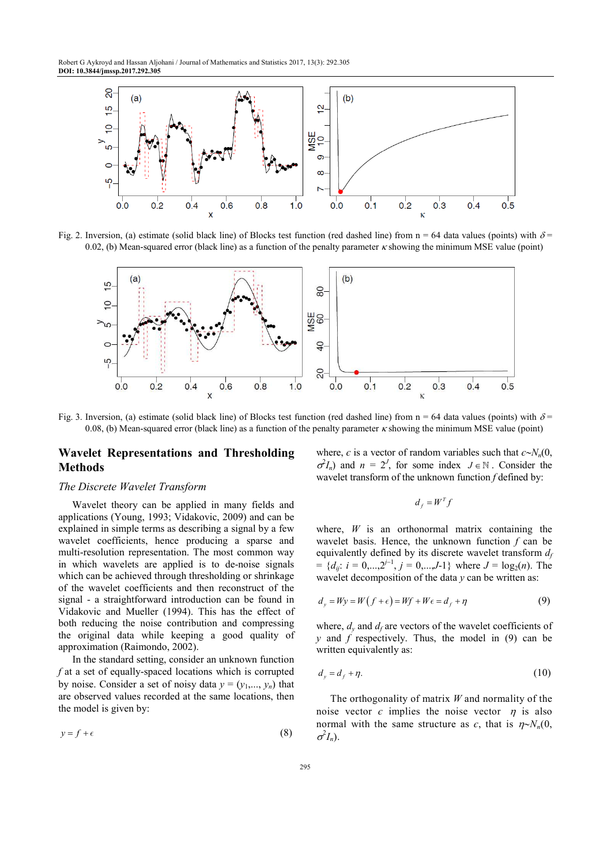

Fig. 2. Inversion, (a) estimate (solid black line) of Blocks test function (red dashed line) from  $n = 64$  data values (points) with  $\delta$ = 0.02, (b) Mean-squared error (black line) as a function of the penalty parameter  $\kappa$  showing the minimum MSE value (point)



Fig. 3. Inversion, (a) estimate (solid black line) of Blocks test function (red dashed line) from  $n = 64$  data values (points) with  $\delta$ 0.08, (b) Mean-squared error (black line) as a function of the penalty parameter  $\kappa$  showing the minimum MSE value (point)

# **Wavelet Representations and Thresholding Methods**

#### *The Discrete Wavelet Transform*

Wavelet theory can be applied in many fields and applications (Young, 1993; Vidakovic, 2009) and can be explained in simple terms as describing a signal by a few wavelet coefficients, hence producing a sparse and multi-resolution representation. The most common way in which wavelets are applied is to de-noise signals which can be achieved through thresholding or shrinkage of the wavelet coefficients and then reconstruct of the signal - a straightforward introduction can be found in Vidakovic and Mueller (1994). This has the effect of both reducing the noise contribution and compressing the original data while keeping a good quality of approximation (Raimondo, 2002).

In the standard setting, consider an unknown function *f* at a set of equally-spaced locations which is corrupted by noise. Consider a set of noisy data  $y = (y_1, \ldots, y_n)$  that are observed values recorded at the same locations, then the model is given by:

$$
y = f + \epsilon \tag{8}
$$

where,  $\epsilon$  is a vector of random variables such that  $\epsilon \sim N_n(0, \epsilon)$  $\sigma^2 I_n$ ) and  $n = 2^J$ , for some index  $J \in \mathbb{N}$ . Consider the wavelet transform of the unknown function *f* defined by:

$$
d_f = W^T f
$$

where, *W* is an orthonormal matrix containing the wavelet basis. Hence, the unknown function *f* can be equivalently defined by its discrete wavelet transform *d<sup>f</sup>*  $= \{d_{ij}: i = 0,...,2^{j-1}, j = 0,...,J-1\}$  where  $J = \log_2(n)$ . The wavelet decomposition of the data *y* can be written as:

$$
d_y = Wy = W(f + \epsilon) = Wf + W\epsilon = d_f + \eta \tag{9}
$$

where,  $d_y$  and  $d_f$  are vectors of the wavelet coefficients of *y* and *f* respectively. Thus, the model in (9) can be written equivalently as:

$$
d_y = d_f + \eta. \tag{10}
$$

The orthogonality of matrix *W* and normality of the noise vector  $\epsilon$  implies the noise vector  $\eta$  is also normal with the same structure as  $\epsilon$ , that is  $\eta \sim N_n(0,$  $\sigma^2 I_n$ ).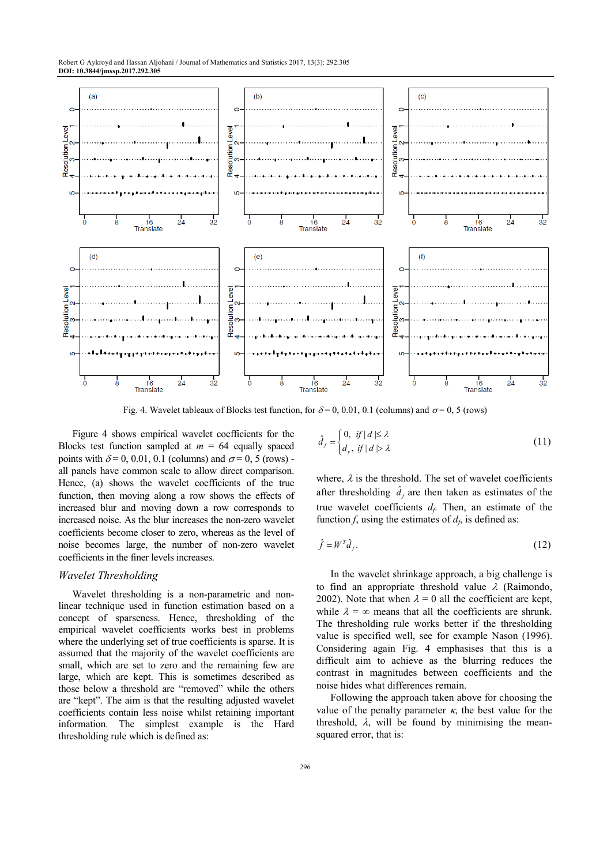

Fig. 4. Wavelet tableaux of Blocks test function, for  $\delta = 0, 0.01, 0.1$  (columns) and  $\sigma = 0, 5$  (rows)

Figure 4 shows empirical wavelet coefficients for the Blocks test function sampled at  $m = 64$  equally spaced points with  $\delta = 0, 0.01, 0.1$  (columns) and  $\sigma = 0, 5$  (rows) all panels have common scale to allow direct comparison. Hence, (a) shows the wavelet coefficients of the true function, then moving along a row shows the effects of increased blur and moving down a row corresponds to increased noise. As the blur increases the non-zero wavelet coefficients become closer to zero, whereas as the level of noise becomes large, the number of non-zero wavelet coefficients in the finer levels increases.

#### *Wavelet Thresholding*

Wavelet thresholding is a non-parametric and nonlinear technique used in function estimation based on a concept of sparseness. Hence, thresholding of the empirical wavelet coefficients works best in problems where the underlying set of true coefficients is sparse. It is assumed that the majority of the wavelet coefficients are small, which are set to zero and the remaining few are large, which are kept. This is sometimes described as those below a threshold are "removed" while the others are "kept". The aim is that the resulting adjusted wavelet coefficients contain less noise whilst retaining important information. The simplest example is the Hard thresholding rule which is defined as:

$$
\hat{d}_f = \begin{cases} 0, & \text{if } |d| \le \lambda \\ d_y, & \text{if } |d| > \lambda \end{cases}
$$
\n(11)

where,  $\lambda$  is the threshold. The set of wavelet coefficients after thresholding  $\hat{d}_f$  are then taken as estimates of the true wavelet coefficients  $d_f$ . Then, an estimate of the function *f*, using the estimates of  $d_f$ , is defined as:

$$
\hat{f} = W^T \hat{d}_f. \tag{12}
$$

In the wavelet shrinkage approach, a big challenge is to find an appropriate threshold value  $\lambda$  (Raimondo, 2002). Note that when  $\lambda = 0$  all the coefficient are kept, while  $\lambda = \infty$  means that all the coefficients are shrunk. The thresholding rule works better if the thresholding value is specified well, see for example Nason (1996). Considering again Fig. 4 emphasises that this is a difficult aim to achieve as the blurring reduces the contrast in magnitudes between coefficients and the noise hides what differences remain.

Following the approach taken above for choosing the value of the penalty parameter  $\kappa$ , the best value for the threshold,  $\lambda$ , will be found by minimising the meansquared error, that is: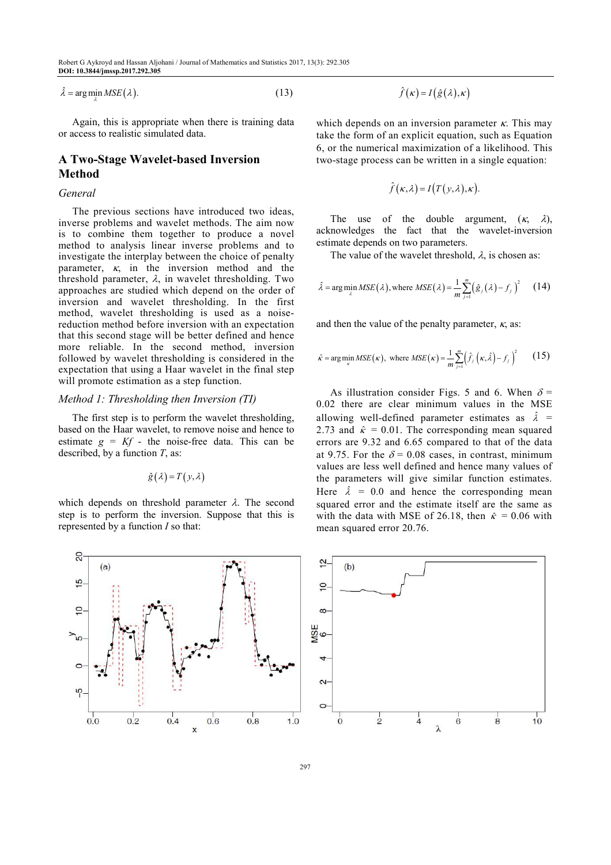$\hat{\lambda} = \arg\min_{\lambda} MSE(\lambda).$  (13)

Again, this is appropriate when there is training data or access to realistic simulated data.

# **A Two-Stage Wavelet-based Inversion Method**

### *General*

The previous sections have introduced two ideas, inverse problems and wavelet methods. The aim now is to combine them together to produce a novel method to analysis linear inverse problems and to investigate the interplay between the choice of penalty parameter,  $\kappa$ , in the inversion method and the threshold parameter,  $\lambda$ , in wavelet thresholding. Two approaches are studied which depend on the order of inversion and wavelet thresholding. In the first method, wavelet thresholding is used as a noisereduction method before inversion with an expectation that this second stage will be better defined and hence more reliable. In the second method, inversion followed by wavelet thresholding is considered in the expectation that using a Haar wavelet in the final step will promote estimation as a step function.

#### *Method 1: Thresholding then Inversion (TI)*

The first step is to perform the wavelet thresholding, based on the Haar wavelet, to remove noise and hence to estimate  $g = Kf$  - the noise-free data. This can be described, by a function *T*, as:

$$
\hat{g}(\lambda) = T(y, \lambda)
$$

which depends on threshold parameter  $\lambda$ . The second step is to perform the inversion. Suppose that this is represented by a function *I* so that:

$$
\hat{f}(\kappa) = I(\hat{g}(\lambda), \kappa)
$$

which depends on an inversion parameter  $\kappa$ . This may take the form of an explicit equation, such as Equation 6, or the numerical maximization of a likelihood. This two-stage process can be written in a single equation:

$$
\hat{f}(\kappa,\lambda) = I(T(y,\lambda),\kappa).
$$

The use of the double argument,  $(\kappa, \lambda)$ , acknowledges the fact that the wavelet-inversion estimate depends on two parameters.

The value of the wavelet threshold,  $\lambda$ , is chosen as:

$$
\hat{\lambda} = \arg\min_{\lambda} MSE(\lambda), \text{where } MSE(\lambda) = \frac{1}{m} \sum_{j=1}^{m} (\hat{g}_j(\lambda) - f_j)^2 \qquad (14)
$$

and then the value of the penalty parameter,  $\kappa$ , as:

$$
\hat{\kappa} = \arg\min_{\kappa} MSE(\kappa), \text{ where } MSE(\kappa) = \frac{1}{m} \sum_{j=1}^{m} (\hat{f}_j(\kappa, \hat{\lambda}) - f_j)^2 \qquad (15)
$$

As illustration consider Figs. 5 and 6. When  $\delta$  = 0.02 there are clear minimum values in the MSE allowing well-defined parameter estimates as  $\hat{\lambda}$  = 2.73 and  $\hat{\kappa} = 0.01$ . The corresponding mean squared errors are 9.32 and 6.65 compared to that of the data at 9.75. For the  $\delta$  = 0.08 cases, in contrast, minimum values are less well defined and hence many values of the parameters will give similar function estimates. Here  $\hat{\lambda} = 0.0$  and hence the corresponding mean squared error and the estimate itself are the same as with the data with MSE of 26.18, then  $\hat{\kappa} = 0.06$  with mean squared error 20.76.



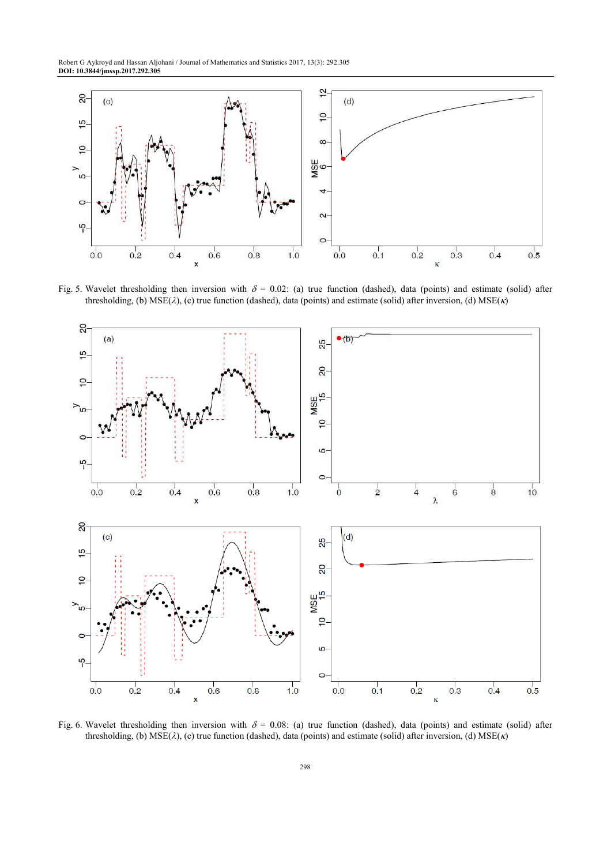Robert G Aykroyd and Hassan Aljohani / Journal of Mathematics and Statistics 2017, 13(3): 292.305 **DOI: 10.3844/jmssp.2017.292.305** 



Fig. 5. Wavelet thresholding then inversion with  $\delta = 0.02$ : (a) true function (dashed), data (points) and estimate (solid) after thresholding, (b)  $MSE(\lambda)$ , (c) true function (dashed), data (points) and estimate (solid) after inversion, (d)  $MSE(\kappa)$ 



Fig. 6. Wavelet thresholding then inversion with  $\delta = 0.08$ : (a) true function (dashed), data (points) and estimate (solid) after thresholding, (b) MSE(λ), (c) true function (dashed), data (points) and estimate (solid) after inversion, (d) MSE(κ)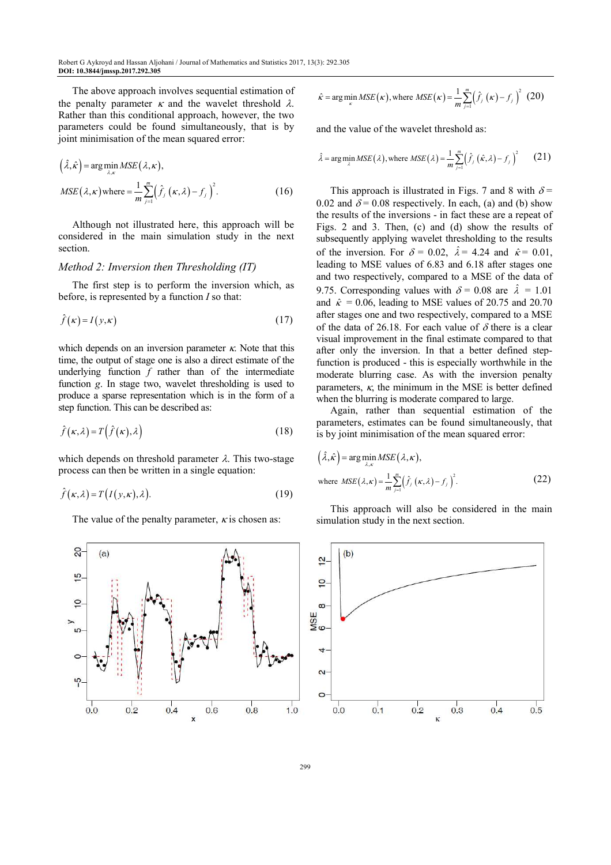The above approach involves sequential estimation of the penalty parameter  $\kappa$  and the wavelet threshold  $\lambda$ . Rather than this conditional approach, however, the two parameters could be found simultaneously, that is by joint minimisation of the mean squared error:

$$
(\hat{\lambda}, \hat{\kappa}) = \arg \min_{\lambda, \kappa} MSE(\lambda, \kappa),
$$
  

$$
MSE(\lambda, \kappa) \text{ where } = \frac{1}{m} \sum_{j=1}^{m} (\hat{f}_j(\kappa, \lambda) - f_j)^2.
$$
 (16)

Although not illustrated here, this approach will be considered in the main simulation study in the next section.

#### *Method 2: Inversion then Thresholding (IT)*

The first step is to perform the inversion which, as before, is represented by a function *I* so that:

$$
\hat{f}(\kappa) = I(y, \kappa) \tag{17}
$$

which depends on an inversion parameter  $\kappa$ . Note that this time, the output of stage one is also a direct estimate of the underlying function *f* rather than of the intermediate function *g*. In stage two, wavelet thresholding is used to produce a sparse representation which is in the form of a step function. This can be described as:

$$
\hat{f}(\kappa,\lambda) = T(\hat{f}(\kappa),\lambda)
$$
\n(18)

which depends on threshold parameter  $\lambda$ . This two-stage process can then be written in a single equation:

$$
\hat{f}(\kappa,\lambda) = T(I(y,\kappa),\lambda). \tag{19}
$$

The value of the penalty parameter,  $\kappa$  is chosen as:



$$
\hat{\kappa} = \arg\min_{\kappa} MSE(\kappa), \text{ where } MSE(\kappa) = \frac{1}{m} \sum_{j=1}^{m} (\hat{f}_j(\kappa) - f_j)^2 \tag{20}
$$

and the value of the wavelet threshold as:

$$
\hat{\lambda} = \arg\min_{\lambda} MSE(\lambda), \text{where } MSE(\lambda) = \frac{1}{m} \sum_{j=1}^{m} (\hat{f}_j(\hat{\kappa}, \lambda) - f_j)^2 \qquad (21)
$$

This approach is illustrated in Figs. 7 and 8 with  $\delta$  = 0.02 and  $\delta$  = 0.08 respectively. In each, (a) and (b) show the results of the inversions - in fact these are a repeat of Figs. 2 and 3. Then, (c) and (d) show the results of subsequently applying wavelet thresholding to the results of the inversion. For  $\delta = 0.02$ ,  $\hat{\lambda} = 4.24$  and  $\hat{\kappa} = 0.01$ , leading to MSE values of 6.83 and 6.18 after stages one and two respectively, compared to a MSE of the data of 9.75. Corresponding values with  $\delta = 0.08$  are  $\hat{\lambda} = 1.01$ and  $\hat{\kappa} = 0.06$ , leading to MSE values of 20.75 and 20.70 after stages one and two respectively, compared to a MSE of the data of 26.18. For each value of  $\delta$  there is a clear visual improvement in the final estimate compared to that after only the inversion. In that a better defined stepfunction is produced - this is especially worthwhile in the moderate blurring case. As with the inversion penalty parameters,  $\kappa$ , the minimum in the MSE is better defined when the blurring is moderate compared to large.

Again, rather than sequential estimation of the parameters, estimates can be found simultaneously, that is by joint minimisation of the mean squared error:

$$
\left(\hat{\lambda}, \hat{\kappa}\right) = \arg\min_{\lambda, \kappa} MSE\left(\lambda, \kappa\right),
$$
\nwhere 
$$
MSE\left(\lambda, \kappa\right) = \frac{1}{m} \sum_{j=1}^{m} \left(\hat{f}_j\left(\kappa, \lambda\right) - f_j\right)^2.
$$
\n(22)

This approach will also be considered in the main simulation study in the next section.

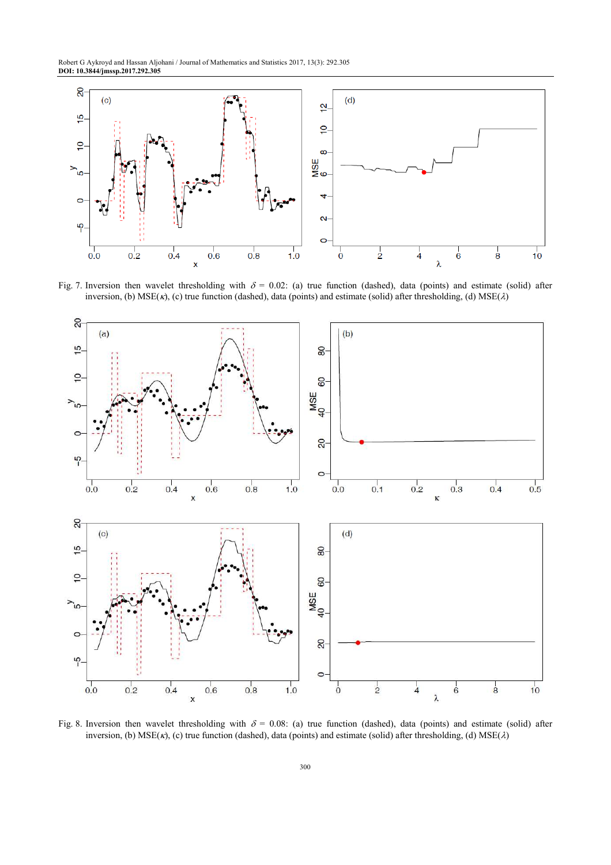Robert G Aykroyd and Hassan Aljohani / Journal of Mathematics and Statistics 2017, 13(3): 292.305 **DOI: 10.3844/jmssp.2017.292.305** 



Fig. 7. Inversion then wavelet thresholding with  $\delta = 0.02$ : (a) true function (dashed), data (points) and estimate (solid) after inversion, (b)  $MSE(\kappa)$ , (c) true function (dashed), data (points) and estimate (solid) after thresholding, (d)  $MSE(\lambda)$ 

![](_page_8_Figure_3.jpeg)

Fig. 8. Inversion then wavelet thresholding with  $\delta = 0.08$ : (a) true function (dashed), data (points) and estimate (solid) after inversion, (b)  $MSE(\kappa)$ , (c) true function (dashed), data (points) and estimate (solid) after thresholding, (d)  $MSE(\lambda)$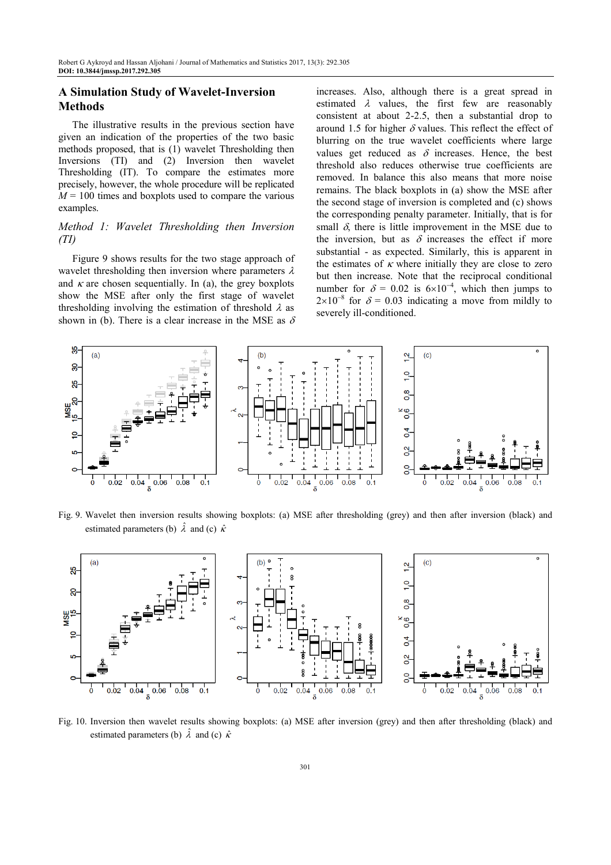# **A Simulation Study of Wavelet-Inversion Methods**

The illustrative results in the previous section have given an indication of the properties of the two basic methods proposed, that is (1) wavelet Thresholding then Inversions (TI) and (2) Inversion then wavelet Thresholding (IT). To compare the estimates more precisely, however, the whole procedure will be replicated  $M = 100$  times and boxplots used to compare the various examples.

### *Method 1: Wavelet Thresholding then Inversion (TI)*

Figure 9 shows results for the two stage approach of wavelet thresholding then inversion where parameters  $\lambda$ and  $\kappa$  are chosen sequentially. In (a), the grey boxplots show the MSE after only the first stage of wavelet thresholding involving the estimation of threshold  $\lambda$  as shown in (b). There is a clear increase in the MSE as  $\delta$  increases. Also, although there is a great spread in estimated  $\lambda$  values, the first few are reasonably consistent at about 2-2.5, then a substantial drop to around 1.5 for higher  $\delta$  values. This reflect the effect of blurring on the true wavelet coefficients where large values get reduced as  $\delta$  increases. Hence, the best threshold also reduces otherwise true coefficients are removed. In balance this also means that more noise remains. The black boxplots in (a) show the MSE after the second stage of inversion is completed and (c) shows the corresponding penalty parameter. Initially, that is for small  $\delta$ , there is little improvement in the MSE due to the inversion, but as  $\delta$  increases the effect if more substantial - as expected. Similarly, this is apparent in the estimates of  $\kappa$  where initially they are close to zero but then increase. Note that the reciprocal conditional number for  $\delta = 0.02$  is  $6 \times 10^{-4}$ , which then jumps to  $2\times10^{-8}$  for  $\delta = 0.03$  indicating a move from mildly to severely ill-conditioned.

![](_page_9_Figure_6.jpeg)

Fig. 9. Wavelet then inversion results showing boxplots: (a) MSE after thresholding (grey) and then after inversion (black) and estimated parameters (b)  $\hat{\lambda}$  and (c)  $\hat{\kappa}$ 

![](_page_9_Figure_8.jpeg)

Fig. 10. Inversion then wavelet results showing boxplots: (a) MSE after inversion (grey) and then after thresholding (black) and estimated parameters (b)  $\hat{\lambda}$  and (c)  $\hat{\kappa}$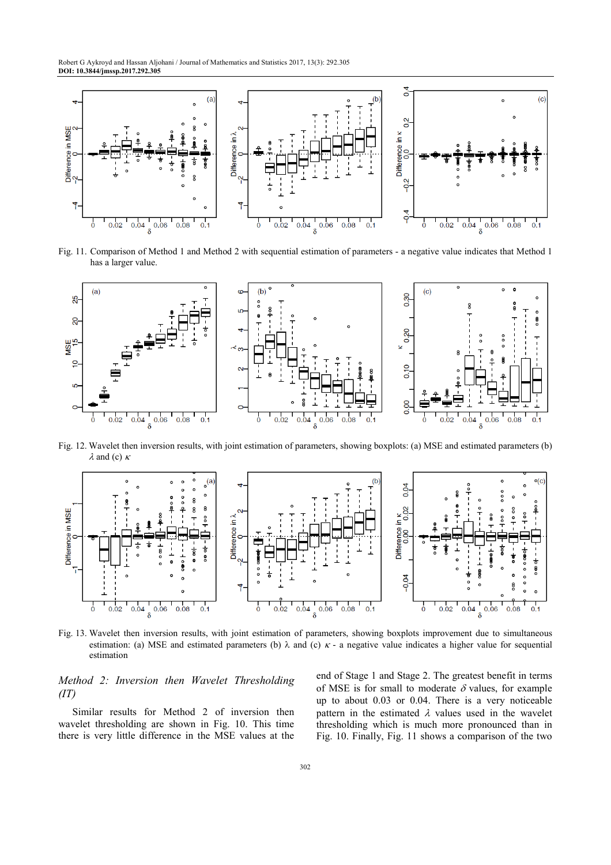![](_page_10_Figure_1.jpeg)

Fig. 11. Comparison of Method 1 and Method 2 with sequential estimation of parameters - a negative value indicates that Method 1 has a larger value.

![](_page_10_Figure_3.jpeg)

Fig. 12. Wavelet then inversion results, with joint estimation of parameters, showing boxplots: (a) MSE and estimated parameters (b)  $\lambda$  and (c)  $\kappa$ 

![](_page_10_Figure_5.jpeg)

Fig. 13. Wavelet then inversion results, with joint estimation of parameters, showing boxplots improvement due to simultaneous estimation: (a) MSE and estimated parameters (b)  $\lambda$  and (c)  $\kappa$  - a negative value indicates a higher value for sequential estimation

# *Method 2: Inversion then Wavelet Thresholding (IT)*

Similar results for Method 2 of inversion then wavelet thresholding are shown in Fig. 10. This time there is very little difference in the MSE values at the end of Stage 1 and Stage 2. The greatest benefit in terms of MSE is for small to moderate  $\delta$  values, for example up to about 0.03 or 0.04. There is a very noticeable pattern in the estimated  $\lambda$  values used in the wavelet thresholding which is much more pronounced than in Fig. 10. Finally, Fig. 11 shows a comparison of the two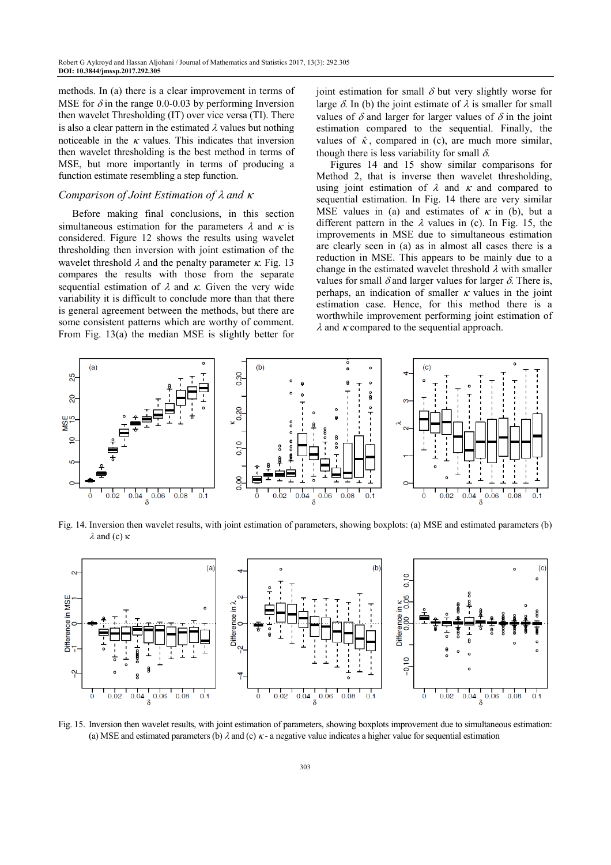methods. In (a) there is a clear improvement in terms of MSE for  $\delta$  in the range 0.0-0.03 by performing Inversion then wavelet Thresholding (IT) over vice versa (TI). There is also a clear pattern in the estimated  $\lambda$  values but nothing noticeable in the  $\kappa$  values. This indicates that inversion then wavelet thresholding is the best method in terms of MSE, but more importantly in terms of producing a function estimate resembling a step function.

### *Comparison of Joint Estimation of* λ *and* <sup>κ</sup>

Before making final conclusions, in this section simultaneous estimation for the parameters  $\lambda$  and  $\kappa$  is considered. Figure 12 shows the results using wavelet thresholding then inversion with joint estimation of the wavelet threshold  $\lambda$  and the penalty parameter  $\kappa$ . Fig. 13 compares the results with those from the separate sequential estimation of  $\lambda$  and  $\kappa$ . Given the very wide variability it is difficult to conclude more than that there is general agreement between the methods, but there are some consistent patterns which are worthy of comment. From Fig. 13(a) the median MSE is slightly better for joint estimation for small  $\delta$  but very slightly worse for large  $\delta$ . In (b) the joint estimate of  $\lambda$  is smaller for small values of  $\delta$  and larger for larger values of  $\delta$  in the joint estimation compared to the sequential. Finally, the values of  $\hat{\kappa}$ , compared in (c), are much more similar, though there is less variability for small  $\delta$ .

Figures 14 and 15 show similar comparisons for Method 2, that is inverse then wavelet thresholding, using joint estimation of  $\lambda$  and  $\kappa$  and compared to sequential estimation. In Fig. 14 there are very similar MSE values in (a) and estimates of  $\kappa$  in (b), but a different pattern in the  $\lambda$  values in (c). In Fig. 15, the improvements in MSE due to simultaneous estimation are clearly seen in (a) as in almost all cases there is a reduction in MSE. This appears to be mainly due to a change in the estimated wavelet threshold  $\lambda$  with smaller values for small  $\delta$  and larger values for larger  $\delta$ . There is, perhaps, an indication of smaller  $\kappa$  values in the joint estimation case. Hence, for this method there is a worthwhile improvement performing joint estimation of  $\lambda$  and  $\kappa$  compared to the sequential approach.

![](_page_11_Figure_6.jpeg)

Fig. 14. Inversion then wavelet results, with joint estimation of parameters, showing boxplots: (a) MSE and estimated parameters (b)  $λ$  and (c)  $κ$ 

![](_page_11_Figure_8.jpeg)

Fig. 15. Inversion then wavelet results, with joint estimation of parameters, showing boxplots improvement due to simultaneous estimation: (a) MSE and estimated parameters (b)  $\lambda$  and (c)  $\kappa$ - a negative value indicates a higher value for sequential estimation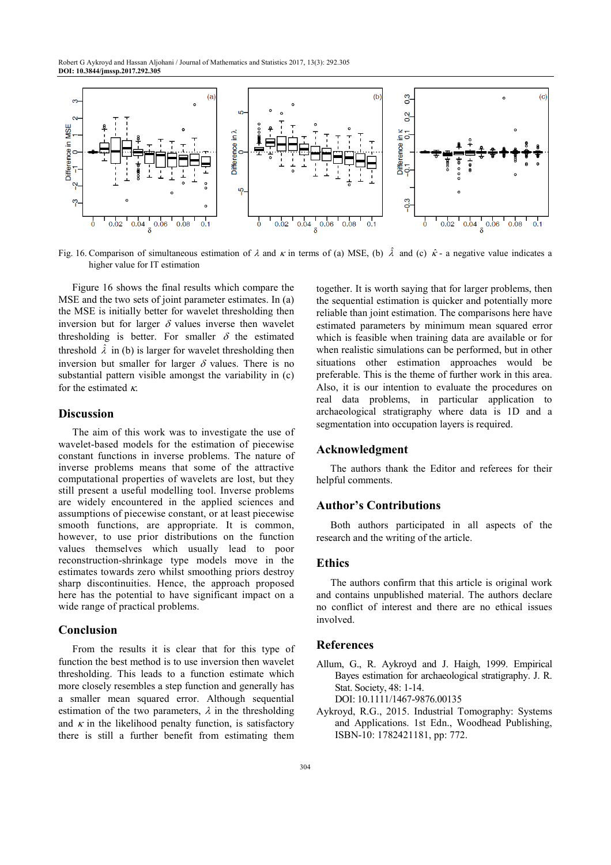Robert G Aykroyd and Hassan Aljohani / Journal of Mathematics and Statistics 2017, 13(3): 292.305 **DOI: 10.3844/jmssp.2017.292.305** 

![](_page_12_Figure_1.jpeg)

Fig. 16. Comparison of simultaneous estimation of  $\lambda$  and  $\kappa$  in terms of (a) MSE, (b)  $\hat{\lambda}$  and (c)  $\hat{\kappa}$ - a negative value indicates a higher value for IT estimation

Figure 16 shows the final results which compare the MSE and the two sets of joint parameter estimates. In (a) the MSE is initially better for wavelet thresholding then inversion but for larger  $\delta$  values inverse then wavelet thresholding is better. For smaller  $\delta$  the estimated threshold  $\hat{\lambda}$  in (b) is larger for wavelet thresholding then inversion but smaller for larger  $\delta$  values. There is no substantial pattern visible amongst the variability in (c) for the estimated  $\kappa$ .

## **Discussion**

The aim of this work was to investigate the use of wavelet-based models for the estimation of piecewise constant functions in inverse problems. The nature of inverse problems means that some of the attractive computational properties of wavelets are lost, but they still present a useful modelling tool. Inverse problems are widely encountered in the applied sciences and assumptions of piecewise constant, or at least piecewise smooth functions, are appropriate. It is common, however, to use prior distributions on the function values themselves which usually lead to poor reconstruction-shrinkage type models move in the estimates towards zero whilst smoothing priors destroy sharp discontinuities. Hence, the approach proposed here has the potential to have significant impact on a wide range of practical problems.

## **Conclusion**

From the results it is clear that for this type of function the best method is to use inversion then wavelet thresholding. This leads to a function estimate which more closely resembles a step function and generally has a smaller mean squared error. Although sequential estimation of the two parameters,  $\lambda$  in the thresholding and  $\kappa$  in the likelihood penalty function, is satisfactory there is still a further benefit from estimating them together. It is worth saying that for larger problems, then the sequential estimation is quicker and potentially more reliable than joint estimation. The comparisons here have estimated parameters by minimum mean squared error which is feasible when training data are available or for when realistic simulations can be performed, but in other situations other estimation approaches would be preferable. This is the theme of further work in this area. Also, it is our intention to evaluate the procedures on real data problems, in particular application to archaeological stratigraphy where data is 1D and a segmentation into occupation layers is required.

## **Acknowledgment**

The authors thank the Editor and referees for their helpful comments.

#### **Author's Contributions**

Both authors participated in all aspects of the research and the writing of the article.

# **Ethics**

The authors confirm that this article is original work and contains unpublished material. The authors declare no conflict of interest and there are no ethical issues involved.

#### **References**

- Allum, G., R. Aykroyd and J. Haigh, 1999. Empirical Bayes estimation for archaeological stratigraphy. J. R. Stat. Society, 48: 1-14. DOI: 10.1111/1467-9876.00135
- Aykroyd, R.G., 2015. Industrial Tomography: Systems and Applications. 1st Edn., Woodhead Publishing, ISBN-10: 1782421181, pp: 772.